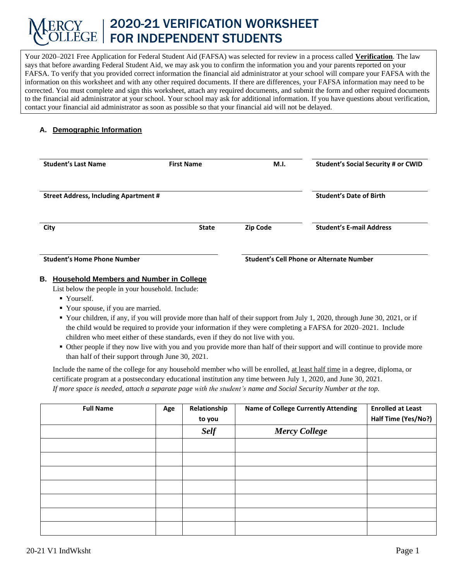# 2020-21 VERIFICATION WORKSHEET FOR INDEPENDENT STUDENTS

Your 2020–2021 Free Application for Federal Student Aid (FAFSA) was selected for review in a process called **Verification**. The law says that before awarding Federal Student Aid, we may ask you to confirm the information you and your parents reported on your FAFSA. To verify that you provided correct information the financial aid administrator at your school will compare your FAFSA with the information on this worksheet and with any other required documents. If there are differences, your FAFSA information may need to be corrected. You must complete and sign this worksheet, attach any required documents, and submit the form and other required documents to the financial aid administrator at your school. Your school may ask for additional information. If you have questions about verification, contact your financial aid administrator as soon as possible so that your financial aid will not be delayed.

# **A. Demographic Information**

| <b>Student's Last Name</b>                   | <b>First Name</b> | M.I.                                            | Student's Social Security # or CWID |  |
|----------------------------------------------|-------------------|-------------------------------------------------|-------------------------------------|--|
| <b>Street Address, Including Apartment #</b> |                   |                                                 | <b>Student's Date of Birth</b>      |  |
| City                                         | <b>State</b>      | <b>Zip Code</b>                                 | <b>Student's E-mail Address</b>     |  |
| <b>Student's Home Phone Number</b>           |                   | <b>Student's Cell Phone or Alternate Number</b> |                                     |  |

# **B. Household Members and Number in College**

List below the people in your household. Include:

- Yourself.
- Your spouse, if you are married.
- Your children, if any, if you will provide more than half of their support from July 1, 2020, through June 30, 2021, or if the child would be required to provide your information if they were completing a FAFSA for 2020–2021. Include children who meet either of these standards, even if they do not live with you.
- Other people if they now live with you and you provide more than half of their support and will continue to provide more than half of their support through June 30, 2021.

Include the name of the college for any household member who will be enrolled, at least half time in a degree, diploma, or certificate program at a postsecondary educational institution any time between July 1, 2020, and June 30, 2021. *If more space is needed, attach a separate page with the student's name and Social Security Number at the top.*

| <b>Full Name</b> | Age | Relationship<br>to you | <b>Name of College Currently Attending</b> | <b>Enrolled at Least</b><br>Half Time (Yes/No?) |
|------------------|-----|------------------------|--------------------------------------------|-------------------------------------------------|
|                  |     | <b>Self</b>            | <b>Mercy College</b>                       |                                                 |
|                  |     |                        |                                            |                                                 |
|                  |     |                        |                                            |                                                 |
|                  |     |                        |                                            |                                                 |
|                  |     |                        |                                            |                                                 |
|                  |     |                        |                                            |                                                 |
|                  |     |                        |                                            |                                                 |
|                  |     |                        |                                            |                                                 |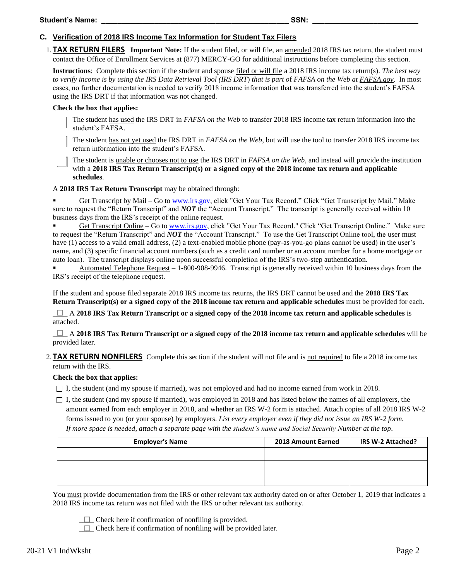## **C. Verification of 2018 IRS Income Tax Information for Student Tax Filers**

1. **TAX RETURN FILERS Important Note:** If the student filed, or will file, an amended 2018 IRS tax return, the student must contact the Office of Enrollment Services at (877) MERCY-GO for additional instructions before completing this section.

**Instructions**: Complete this section if the student and spouse filed or will file a 2018 IRS income tax return(s). *The best way to verify income is by using the IRS Data Retrieval Tool (IRS DRT*) *that is part o*f *FAFSA on the Web at FAFSA.gov.* In most cases, no further documentation is needed to verify 2018 income information that was transferred into the student's FAFSA using the IRS DRT if that information was not changed.

### **Check the box that applies:**

The student has used the IRS DRT in *FAFSA on the Web* to transfer 2018 IRS income tax return information into the student's FAFSA*.* 

The student has not yet used the IRS DRT in *FAFSA on the Web*, but will use the tool to transfer 2018 IRS income tax return information into the student's FAFSA.

The student is unable or chooses not to use the IRS DRT in *FAFSA on the Web*, and instead will provide the institution with a **2018 IRS Tax Return Transcript(s)** or a signed copy of the 2018 income tax return and applicable **schedules**.

A **2018 IRS Tax Return Transcript** may be obtained through:

Get Transcript by Mail – Go to [www.irs.gov,](http://www.irs.gov/) click "Get Your Tax Record." Click "Get Transcript by Mail." Make sure to request the "Return Transcript" and *NOT* the "Account Transcript." The transcript is generally received within 10 business days from the IRS's receipt of the online request.

Get Transcript Online – Go t[o www.irs.gov,](http://www.irs.gov/) click "Get Your Tax Record." Click "Get Transcript Online." Make sure to request the "Return Transcript" and *NOT* the "Account Transcript." To use the Get Transcript Online tool, the user must have (1) access to a valid email address, (2) a text-enabled mobile phone (pay-as-you-go plans cannot be used) in the user's name, and (3) specific financial account numbers (such as a credit card number or an account number for a home mortgage or auto loan). The transcript displays online upon successful completion of the IRS's two-step authentication.

Automated Telephone Request  $-1$ -800-908-9946. Transcript is generally received within 10 business days from the IRS's receipt of the telephone request.

If the student and spouse filed separate 2018 IRS income tax returns, the IRS DRT cannot be used and the **2018 IRS Tax Return Transcript(s) or a signed copy of the 2018 income tax return and applicable schedules** must be provided for each.

*\_\_\_\_* A **2018 IRS Tax Return Transcript or a signed copy of the 2018 income tax return and applicable schedules** is attached.

\_\_\_\_ A **2018 IRS Tax Return Transcript or a signed copy of the 2018 income tax return and applicable schedules** will be provided later.

2. **TAX RETURN NONFILERS** Complete this section if the student will not file and is not required to file a 2018 income tax return with the IRS.

## **Check the box that applies:**

 $\Box$  I, the student (and my spouse if married), was not employed and had no income earned from work in 2018.

 $\Box$  I, the student (and my spouse if married), was employed in 2018 and has listed below the names of all employers, the amount earned from each employer in 2018, and whether an IRS W-2 form is attached. Attach copies of all 2018 IRS W-2 forms issued to you (or your spouse) by employers. *List every employer even if they did not issue an IRS W-2 form. If more space is needed, attach a separate page with the student's name and Social Security Number at the top*.

| <b>Employer's Name</b> | 2018 Amount Earned | IRS W-2 Attached? |
|------------------------|--------------------|-------------------|
|                        |                    |                   |
|                        |                    |                   |
|                        |                    |                   |

You must provide documentation from the IRS or other relevant tax authority dated on or after October 1, 2019 that indicates a 2018 IRS income tax return was not filed with the IRS or other relevant tax authority.

 $\Box$  Check here if confirmation of nonfiling is provided.

 $\Box$  Check here if confirmation of nonfiling will be provided later.